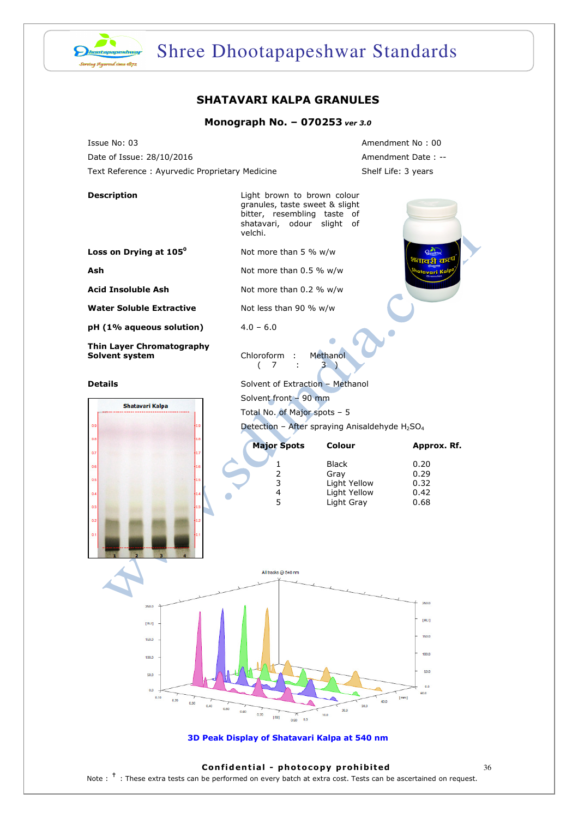

# Shree Dhootapapeshwar Standards

### SHATAVARI KALPA GRANULES

#### Monograph No. – 070253 ver 3.0

Issue No: 03 Amendment No : 00 Date of Issue: 28/10/2016 Contract Date : --Text Reference : Ayurvedic Proprietary Medicine Shelf Life: 3 years

| <b>Description</b>                                                                | Light brown to brown colour<br>granules, taste sweet & slight<br>bitter, resembling taste of<br>shatavari, odour<br>velchi.     | slight<br>οf               |              |  |
|-----------------------------------------------------------------------------------|---------------------------------------------------------------------------------------------------------------------------------|----------------------------|--------------|--|
| Loss on Drying at 105 <sup>0</sup>                                                | Not more than 5 % w/w                                                                                                           |                            |              |  |
| Ash                                                                               | श्वाको क <b>्</b><br>Not more than 0.5 % w/w<br><sup>lat</sup> avari Ka                                                         |                            |              |  |
| <b>Acid Insoluble Ash</b>                                                         | Not more than 0.2 % w/w                                                                                                         |                            |              |  |
| <b>Water Soluble Extractive</b>                                                   | Not less than 90 % w/w                                                                                                          |                            |              |  |
| pH (1% aqueous solution)                                                          | $4.0 - 6.0$                                                                                                                     |                            |              |  |
| Thin Layer Chromatography<br>Solvent system                                       | Chloroform :<br>7<br>÷<br>(                                                                                                     | Methanol<br>3.             |              |  |
| <b>Details</b>                                                                    | Solvent of Extraction - Methanol                                                                                                |                            |              |  |
| <b>Shatavari Kalpa</b>                                                            | Solvent front - 90 mm<br>Total No. of Major spots - 5<br>Detection - After spraying Anisaldehyde H <sub>2</sub> SO <sub>4</sub> |                            |              |  |
| 0.9                                                                               |                                                                                                                                 |                            |              |  |
| 0.8                                                                               |                                                                                                                                 |                            |              |  |
| 0.7                                                                               | <b>Major Spots</b>                                                                                                              | Colour                     | Approx. Rf.  |  |
| 0.6                                                                               | 1<br>2                                                                                                                          | <b>Black</b><br>Gray       | 0.20<br>0.29 |  |
| 0.5                                                                               | 3                                                                                                                               | Light Yellow               | 0.32         |  |
| 0.4                                                                               | 4<br>5                                                                                                                          | Light Yellow<br>Light Gray | 0.42<br>0.68 |  |
| 0.3<br>0.2<br>0.1                                                                 |                                                                                                                                 |                            |              |  |
|                                                                                   | All tracks @ 540 nm                                                                                                             |                            |              |  |
|                                                                                   |                                                                                                                                 |                            |              |  |
| 250.0                                                                             |                                                                                                                                 |                            | 250.0        |  |
| [AU]                                                                              |                                                                                                                                 |                            | [AU]         |  |
| 150.0                                                                             | 150,0<br>100,0<br>50.0                                                                                                          |                            |              |  |
|                                                                                   |                                                                                                                                 |                            |              |  |
| 100.0                                                                             |                                                                                                                                 |                            |              |  |
| 50.0<br>0.0                                                                       |                                                                                                                                 |                            |              |  |
| 0.0<br>60.0<br>0.10<br>[mm]<br>0.20<br>40.0                                       |                                                                                                                                 |                            |              |  |
| 0.30<br>0.40<br>30.0<br>0.50<br>20.0<br>0.60<br>0.70<br>10.0<br>[ <sub>Rf</sub> ] |                                                                                                                                 |                            |              |  |
| 0.90<br>0.0                                                                       |                                                                                                                                 |                            |              |  |
| 3D Peak Display of Shatavari Kalpa at 540 nm                                      |                                                                                                                                 |                            |              |  |

#### Confidential - photocopy prohibited  $36$

Note : <sup>†</sup> : These extra tests can be performed on every batch at extra cost. Tests can be ascertained on request.